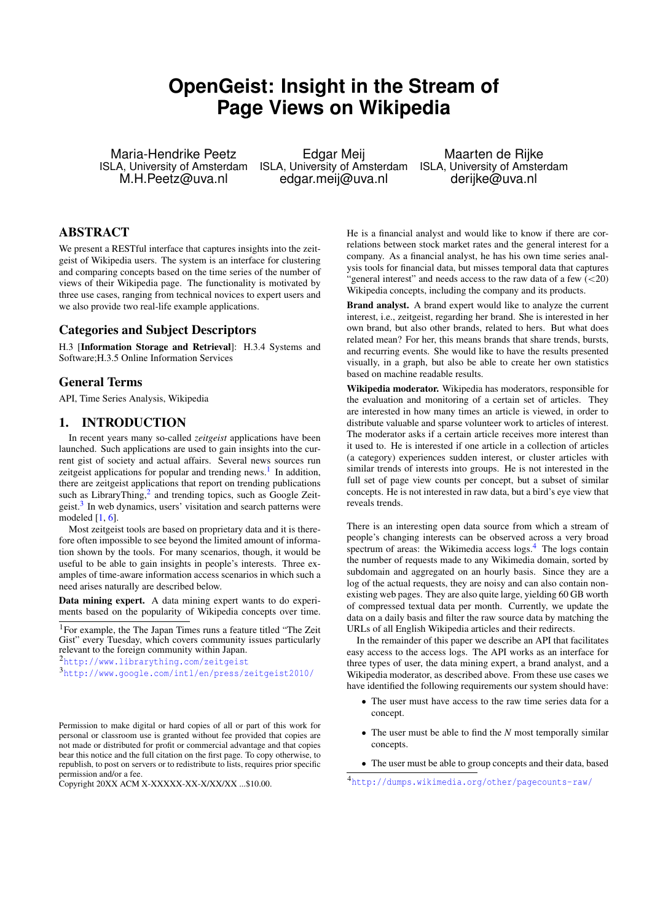# **OpenGeist: Insight in the Stream of Page Views on Wikipedia**

Maria-Hendrike Peetz ISLA, University of Amsterdam M.H.Peetz@uva.nl

Edgar Meij edgar.meij@uva.nl

ISLA, University of Amsterdam ISLA, University of Amsterdam Maarten de Rijke derijke@uva.nl

# ABSTRACT

We present a RESTful interface that captures insights into the zeitgeist of Wikipedia users. The system is an interface for clustering and comparing concepts based on the time series of the number of views of their Wikipedia page. The functionality is motivated by three use cases, ranging from technical novices to expert users and we also provide two real-life example applications.

## Categories and Subject Descriptors

H.3 [Information Storage and Retrieval]: H.3.4 Systems and Software;H.3.5 Online Information Services

### General Terms

API, Time Series Analysis, Wikipedia

# <span id="page-0-4"></span>1. INTRODUCTION

In recent years many so-called *zeitgeist* applications have been launched. Such applications are used to gain insights into the current gist of society and actual affairs. Several news sources run zeitgeist applications for popular and trending news.<sup>[1](#page-0-0)</sup> In addition, there are zeitgeist applications that report on trending publications such as LibraryThing, $^2$  $^2$  and trending topics, such as Google Zeit-geist.<sup>[3](#page-0-2)</sup> In web dynamics, users' visitation and search patterns were modeled  $[1, 6]$  $[1, 6]$  $[1, 6]$ .

Most zeitgeist tools are based on proprietary data and it is therefore often impossible to see beyond the limited amount of information shown by the tools. For many scenarios, though, it would be useful to be able to gain insights in people's interests. Three examples of time-aware information access scenarios in which such a need arises naturally are described below.

Data mining expert. A data mining expert wants to do experiments based on the popularity of Wikipedia concepts over time.

<span id="page-0-0"></span><sup>1</sup> For example, the The Japan Times runs a feature titled "The Zeit" Gist" every Tuesday, which covers community issues particularly relevant to the foreign community within Japan.

<span id="page-0-1"></span><sup>2</sup><http://www.librarything.com/zeitgeist>

Permission to make digital or hard copies of all or part of this work for personal or classroom use is granted without fee provided that copies are not made or distributed for profit or commercial advantage and that copies bear this notice and the full citation on the first page. To copy otherwise, to republish, to post on servers or to redistribute to lists, requires prior specific permission and/or a fee.

Copyright 20XX ACM X-XXXXX-XX-X/XX/XX ...\$10.00.

He is a financial analyst and would like to know if there are correlations between stock market rates and the general interest for a company. As a financial analyst, he has his own time series analysis tools for financial data, but misses temporal data that captures "general interest" and needs access to the raw data of a few  $\left($  < 20) Wikipedia concepts, including the company and its products.

Brand analyst. A brand expert would like to analyze the current interest, i.e., zeitgeist, regarding her brand. She is interested in her own brand, but also other brands, related to hers. But what does related mean? For her, this means brands that share trends, bursts, and recurring events. She would like to have the results presented visually, in a graph, but also be able to create her own statistics based on machine readable results.

Wikipedia moderator. Wikipedia has moderators, responsible for the evaluation and monitoring of a certain set of articles. They are interested in how many times an article is viewed, in order to distribute valuable and sparse volunteer work to articles of interest. The moderator asks if a certain article receives more interest than it used to. He is interested if one article in a collection of articles (a category) experiences sudden interest, or cluster articles with similar trends of interests into groups. He is not interested in the full set of page view counts per concept, but a subset of similar concepts. He is not interested in raw data, but a bird's eye view that reveals trends.

There is an interesting open data source from which a stream of people's changing interests can be observed across a very broad spectrum of areas: the Wikimedia access logs.<sup>[4](#page-0-3)</sup> The logs contain the number of requests made to any Wikimedia domain, sorted by subdomain and aggregated on an hourly basis. Since they are a log of the actual requests, they are noisy and can also contain nonexisting web pages. They are also quite large, yielding 60 GB worth of compressed textual data per month. Currently, we update the data on a daily basis and filter the raw source data by matching the URLs of all English Wikipedia articles and their redirects.

In the remainder of this paper we describe an API that facilitates easy access to the access logs. The API works as an interface for three types of user, the data mining expert, a brand analyst, and a Wikipedia moderator, as described above. From these use cases we have identified the following requirements our system should have:

- The user must have access to the raw time series data for a concept.
- The user must be able to find the *N* most temporally similar concepts.
- ' The user must be able to group concepts and their data, based

<span id="page-0-2"></span><sup>3</sup><http://www.google.com/intl/en/press/zeitgeist2010/>

<span id="page-0-3"></span><sup>4</sup><http://dumps.wikimedia.org/other/pagecounts-raw/>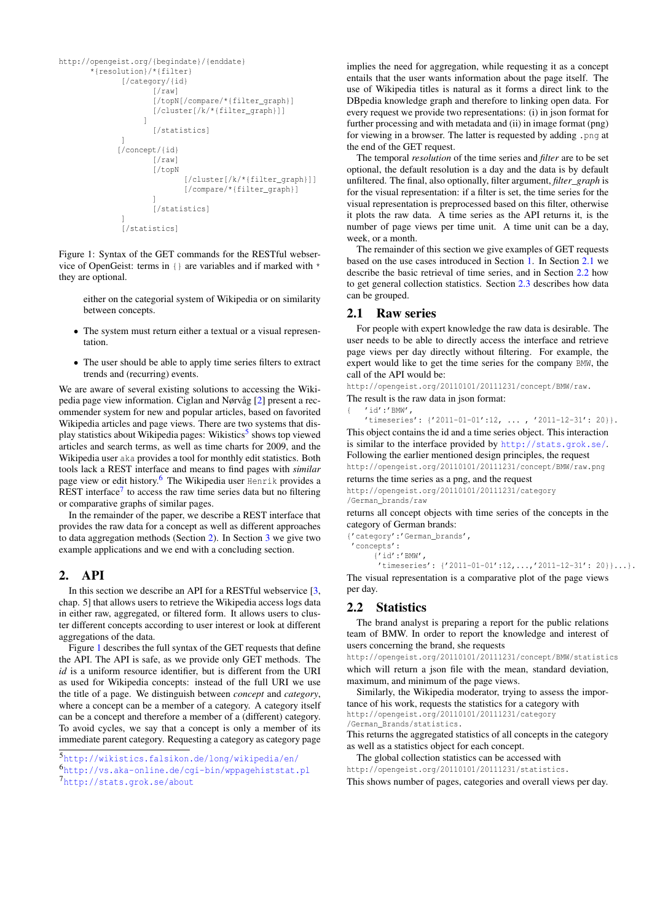```
http://opengeist.org/{begindate}/{enddate}
        *{resolution}/*{filter}
                [/category/{id}
                        [/raw]
                        [/topN[/compare/*{filter_graph}]
                        [/cluster[/k/*{filter_graph}]]
                      \begin{array}{c} \end{array}[/statistics]
                ]
               [/concept/{id}
                        [/raw]
                        [/topN
                                [/cluster[/k/*{filter_graph}]]
                                [/compare/*{filter_graph}]
                        ]
                        [/statistics]
                ]
                [/statistics]
```
Figure 1: Syntax of the GET commands for the RESTful webservice of OpenGeist: terms in {} are variables and if marked with \* they are optional.

either on the categorial system of Wikipedia or on similarity between concepts.

- The system must return either a textual or a visual representation.
- ' The user should be able to apply time series filters to extract trends and (recurring) events.

We are aware of several existing solutions to accessing the Wikipedia page view information. Ciglan and Nørvåg [\[2\]](#page-3-2) present a recommender system for new and popular articles, based on favorited Wikipedia articles and page views. There are two systems that dis-play statistics about Wikipedia pages: Wikistics<sup>[5](#page-1-0)</sup> shows top viewed articles and search terms, as well as time charts for 2009, and the Wikipedia user aka provides a tool for monthly edit statistics. Both tools lack a REST interface and means to find pages with *similar* page view or edit history.[6](#page-1-1) The Wikipedia user Henrik provides a REST interface<sup>[7](#page-1-2)</sup> to access the raw time series data but no filtering or comparative graphs of similar pages.

In the remainder of the paper, we describe a REST interface that provides the raw data for a concept as well as different approaches to data aggregation methods (Section [2\)](#page-1-3). In Section [3](#page-3-3) we give two example applications and we end with a concluding section.

# <span id="page-1-3"></span>2. API

In this section we describe an API for a RESTful webservice [\[3,](#page-3-4) chap. 5] that allows users to retrieve the Wikipedia access logs data in either raw, aggregated, or filtered form. It allows users to cluster different concepts according to user interest or look at different aggregations of the data.

Figure [1](#page-1-4) describes the full syntax of the GET requests that define the API. The API is safe, as we provide only GET methods. The *id* is a uniform resource identifier, but is different from the URI as used for Wikipedia concepts: instead of the full URI we use the title of a page. We distinguish between *concept* and *category*, where a concept can be a member of a category. A category itself can be a concept and therefore a member of a (different) category. To avoid cycles, we say that a concept is only a member of its immediate parent category. Requesting a category as category page

<span id="page-1-0"></span><sup>5</sup><http://wikistics.falsikon.de/long/wikipedia/en/>

<span id="page-1-2"></span><sup>7</sup><http://stats.grok.se/about>

implies the need for aggregation, while requesting it as a concept entails that the user wants information about the page itself. The use of Wikipedia titles is natural as it forms a direct link to the DBpedia knowledge graph and therefore to linking open data. For every request we provide two representations: (i) in json format for further processing and with metadata and (ii) in image format (png) for viewing in a browser. The latter is requested by adding .png at the end of the GET request.

The temporal *resolution* of the time series and *filter* are to be set optional, the default resolution is a day and the data is by default unfiltered. The final, also optionally, filter argument, *filter\_graph* is for the visual representation: if a filter is set, the time series for the visual representation is preprocessed based on this filter, otherwise it plots the raw data. A time series as the API returns it, is the number of page views per time unit. A time unit can be a day, week, or a month.

The remainder of this section we give examples of GET requests based on the use cases introduced in Section [1.](#page-0-4) In Section [2.1](#page-1-5) we describe the basic retrieval of time series, and in Section [2.2](#page-1-6) how to get general collection statistics. Section [2.3](#page-2-0) describes how data can be grouped.

## <span id="page-1-5"></span>2.1 Raw series

For people with expert knowledge the raw data is desirable. The user needs to be able to directly access the interface and retrieve page views per day directly without filtering. For example, the expert would like to get the time series for the company BMW, the call of the API would be:

http://opengeist.org/20110101/20111231/concept/BMW/raw.

The result is the raw data in json format:

#### 'id':'BMW',

'timeseries': {'2011-01-01':12, ... , '2011-12-31': 20}}. This object contains the id and a time series object. This interaction is similar to the interface provided by <http://stats.grok.se/>. Following the earlier mentioned design principles, the request

http://opengeist.org/20110101/20111231/concept/BMW/raw.png returns the time series as a png, and the request

http://opengeist.org/20110101/20111231/category /German\_brands/raw

returns all concept objects with time series of the concepts in the category of German brands:

{'category':'German\_brands',

'concepts':

{'id':'BMW',

'timeseries': {'2011-01-01':12,...,'2011-12-31': 20}}...}. The visual representation is a comparative plot of the page views per day.

# <span id="page-1-6"></span>2.2 Statistics

The brand analyst is preparing a report for the public relations team of BMW. In order to report the knowledge and interest of users concerning the brand, she requests

http://opengeist.org/20110101/20111231/concept/BMW/statistics which will return a json file with the mean, standard deviation, maximum, and minimum of the page views.

Similarly, the Wikipedia moderator, trying to assess the importance of his work, requests the statistics for a category with http://opengeist.org/20110101/20111231/category /German\_Brands/statistics.

This returns the aggregated statistics of all concepts in the category as well as a statistics object for each concept.

The global collection statistics can be accessed with http://opengeist.org/20110101/20111231/statistics.

This shows number of pages, categories and overall views per day.

<span id="page-1-1"></span><sup>6</sup><http://vs.aka-online.de/cgi-bin/wppagehiststat.pl>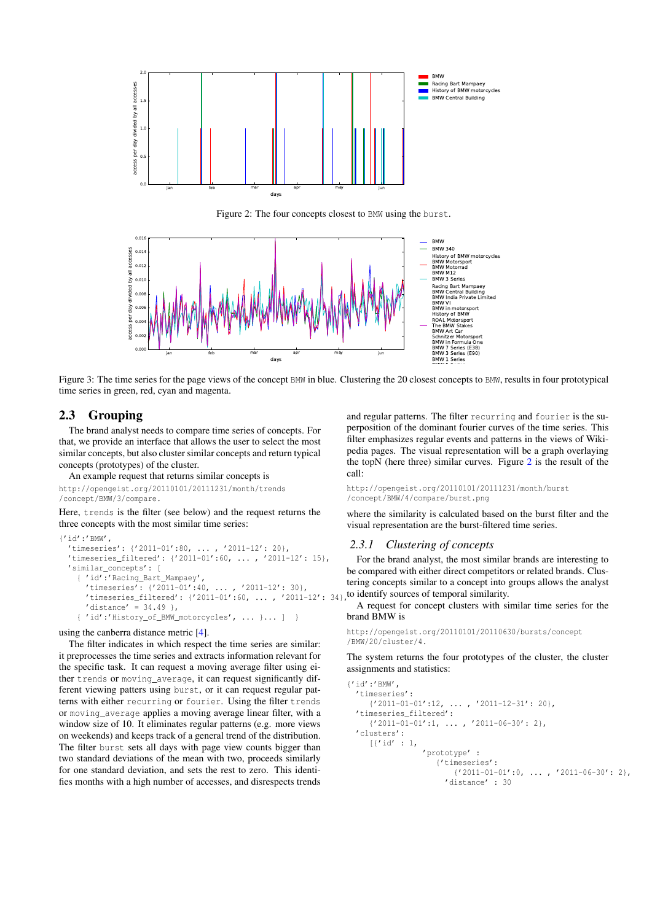<span id="page-2-1"></span>

Figure 2: The four concepts closest to BMW using the burst.

<span id="page-2-2"></span>

Figure 3: The time series for the page views of the concept BMW in blue. Clustering the 20 closest concepts to BMW, results in four prototypical time series in green, red, cyan and magenta.

# <span id="page-2-0"></span>2.3 Grouping

The brand analyst needs to compare time series of concepts. For that, we provide an interface that allows the user to select the most similar concepts, but also cluster similar concepts and return typical concepts (prototypes) of the cluster.

An example request that returns similar concepts is

http://opengeist.org/20110101/20111231/month/trends /concept/BMW/3/compare.

Here, trends is the filter (see below) and the request returns the three concepts with the most similar time series:

```
{I}id'\cdot'BMW'
 'timeseries': {'2011-01':80, ... , '2011-12': 20},
 'timeseries_filtered': {'2011-01':60, ... , '2011-12': 15},
 'similar_concepts': [
    { 'id':'Racing_Bart_Mampaey',
      'timeseries': {'2011-01':40, ... , '2011-12': 30},
     'timeseries_filtered': {'2011-01':60, ... , '2011-12': 34},
      'distance' = 34.49 },
    { 'id':'History_of_BMW_motorcycles', ... }... ] }
```
using the canberra distance metric [\[4\]](#page-3-5).

The filter indicates in which respect the time series are similar: it preprocesses the time series and extracts information relevant for the specific task. It can request a moving average filter using either trends or moving average, it can request significantly different viewing patters using burst, or it can request regular patterns with either recurring or fourier. Using the filter trends or moving\_average applies a moving average linear filter, with a window size of 10. It eliminates regular patterns (e.g. more views on weekends) and keeps track of a general trend of the distribution. The filter burst sets all days with page view counts bigger than two standard deviations of the mean with two, proceeds similarly for one standard deviation, and sets the rest to zero. This identifies months with a high number of accesses, and disrespects trends

and regular patterns. The filter recurring and fourier is the superposition of the dominant fourier curves of the time series. This filter emphasizes regular events and patterns in the views of Wikipedia pages. The visual representation will be a graph overlaying the topN (here three) similar curves. Figure [2](#page-2-1) is the result of the call:

http://opengeist.org/20110101/20111231/month/burst /concept/BMW/4/compare/burst.png

where the similarity is calculated based on the burst filter and the visual representation are the burst-filtered time series.

#### *2.3.1 Clustering of concepts*

For the brand analyst, the most similar brands are interesting to be compared with either direct competitors or related brands. Clustering concepts similar to a concept into groups allows the analyst to identify sources of temporal similarity.

A request for concept clusters with similar time series for the brand BMW is

```
http://opengeist.org/20110101/20110630/bursts/concept
/BMW/20/cluster/4.
```
The system returns the four prototypes of the cluster, the cluster assignments and statistics:

```
{'id':'BMW',
  'timeseries':
     \{ '2011-01-01':12, \ldots, '2011-12-31': 20 \}'timeseries_filtered':
     \{ '2011-01-01':1, \ldots , '2011-06-30':2 \},'clusters':
     [{'id' : 1,
                  'prototype' :
                     {'timeseries':
                         \{'2011-01-01':0, \ldots, '2011-06-30': 2\},'distance' : 30
```